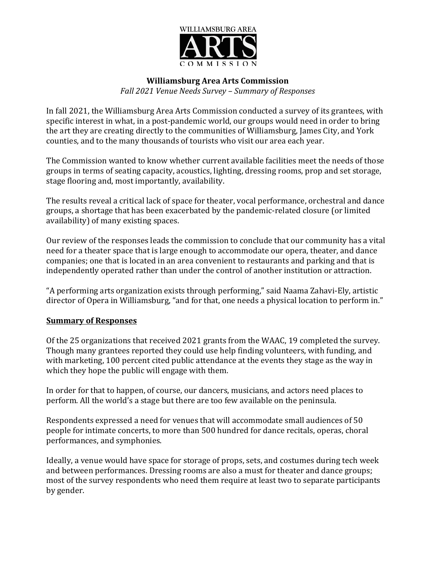

#### **Williamsburg Area Arts Commission**

*Fall 2021 Venue Needs Survey – Summary of Responses*

In fall 2021, the Williamsburg Area Arts Commission conducted a survey of its grantees, with specific interest in what, in a post-pandemic world, our groups would need in order to bring the art they are creating directly to the communities of Williamsburg, James City, and York counties, and to the many thousands of tourists who visit our area each year.

The Commission wanted to know whether current available facilities meet the needs of those groups in terms of seating capacity, acoustics, lighting, dressing rooms, prop and set storage, stage flooring and, most importantly, availability.

The results reveal a critical lack of space for theater, vocal performance, orchestral and dance groups, a shortage that has been exacerbated by the pandemic-related closure (or limited availability) of many existing spaces.

Our review of the responses leads the commission to conclude that our community has a vital need for a theater space that is large enough to accommodate our opera, theater, and dance companies; one that is located in an area convenient to restaurants and parking and that is independently operated rather than under the control of another institution or attraction.

"A performing arts organization exists through performing," said Naama Zahavi-Ely, artistic director of Opera in Williamsburg, "and for that, one needs a physical location to perform in."

#### **Summary of Responses**

Of the 25 organizations that received 2021 grants from the WAAC, 19 completed the survey. Though many grantees reported they could use help finding volunteers, with funding, and with marketing, 100 percent cited public attendance at the events they stage as the way in which they hope the public will engage with them.

In order for that to happen, of course, our dancers, musicians, and actors need places to perform. All the world's a stage but there are too few available on the peninsula.

Respondents expressed a need for venues that will accommodate small audiences of 50 people for intimate concerts, to more than 500 hundred for dance recitals, operas, choral performances, and symphonies.

Ideally, a venue would have space for storage of props, sets, and costumes during tech week and between performances. Dressing rooms are also a must for theater and dance groups; most of the survey respondents who need them require at least two to separate participants by gender.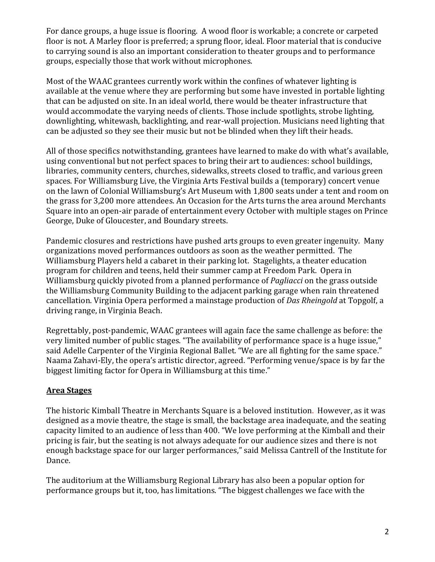For dance groups, a huge issue is flooring. A wood floor is workable; a concrete or carpeted floor is not. A Marley floor is preferred; a sprung floor, ideal. Floor material that is conducive to carrying sound is also an important consideration to theater groups and to performance groups, especially those that work without microphones.

Most of the WAAC grantees currently work within the confines of whatever lighting is available at the venue where they are performing but some have invested in portable lighting that can be adjusted on site. In an ideal world, there would be theater infrastructure that would accommodate the varying needs of clients. Those include spotlights, strobe lighting, downlighting, whitewash, backlighting, and rear-wall projection. Musicians need lighting that can be adjusted so they see their music but not be blinded when they lift their heads.

All of those specifics notwithstanding, grantees have learned to make do with what's available, using conventional but not perfect spaces to bring their art to audiences: school buildings, libraries, community centers, churches, sidewalks, streets closed to traffic, and various green spaces. For Williamsburg Live, the Virginia Arts Festival builds a (temporary) concert venue on the lawn of Colonial Williamsburg's Art Museum with 1,800 seats under a tent and room on the grass for 3,200 more attendees. An Occasion for the Arts turns the area around Merchants Square into an open-air parade of entertainment every October with multiple stages on Prince George, Duke of Gloucester, and Boundary streets.

Pandemic closures and restrictions have pushed arts groups to even greater ingenuity. Many organizations moved performances outdoors as soon as the weather permitted. The Williamsburg Players held a cabaret in their parking lot. Stagelights, a theater education program for children and teens, held their summer camp at Freedom Park. Opera in Williamsburg quickly pivoted from a planned performance of *Pagliacci* on the grass outside the Williamsburg Community Building to the adjacent parking garage when rain threatened cancellation. Virginia Opera performed a mainstage production of *Das Rheingold* at Topgolf, a driving range, in Virginia Beach.

Regrettably, post-pandemic, WAAC grantees will again face the same challenge as before: the very limited number of public stages. "The availability of performance space is a huge issue," said Adelle Carpenter of the Virginia Regional Ballet. "We are all fighting for the same space." Naama Zahavi-Ely, the opera's artistic director, agreed. "Performing venue/space is by far the biggest limiting factor for Opera in Williamsburg at this time."

### **Area Stages**

The historic Kimball Theatre in Merchants Square is a beloved institution. However, as it was designed as a movie theatre, the stage is small, the backstage area inadequate, and the seating capacity limited to an audience of less than 400. "We love performing at the Kimball and their pricing is fair, but the seating is not always adequate for our audience sizes and there is not enough backstage space for our larger performances," said Melissa Cantrell of the Institute for Dance.

The auditorium at the Williamsburg Regional Library has also been a popular option for performance groups but it, too, has limitations. "The biggest challenges we face with the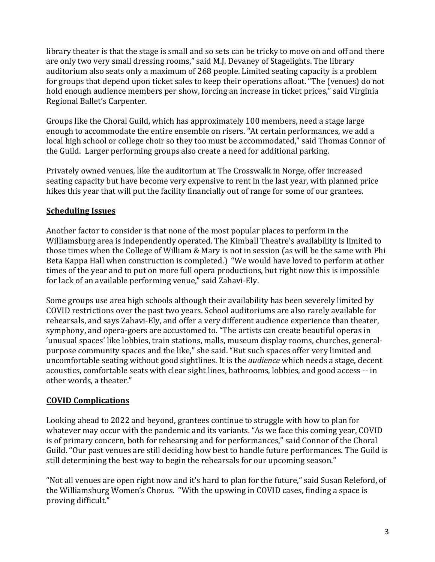library theater is that the stage is small and so sets can be tricky to move on and off and there are only two very small dressing rooms," said M.J. Devaney of Stagelights. The library auditorium also seats only a maximum of 268 people. Limited seating capacity is a problem for groups that depend upon ticket sales to keep their operations afloat. "The (venues) do not hold enough audience members per show, forcing an increase in ticket prices," said Virginia Regional Ballet's Carpenter.

Groups like the Choral Guild, which has approximately 100 members, need a stage large enough to accommodate the entire ensemble on risers. "At certain performances, we add a local high school or college choir so they too must be accommodated," said Thomas Connor of the Guild. Larger performing groups also create a need for additional parking.

Privately owned venues, like the auditorium at The Crosswalk in Norge, offer increased seating capacity but have become very expensive to rent in the last year, with planned price hikes this year that will put the facility financially out of range for some of our grantees.

## **Scheduling Issues**

Another factor to consider is that none of the most popular places to perform in the Williamsburg area is independently operated. The Kimball Theatre's availability is limited to those times when the College of William & Mary is not in session (as will be the same with Phi Beta Kappa Hall when construction is completed.) "We would have loved to perform at other times of the year and to put on more full opera productions, but right now this is impossible for lack of an available performing venue," said Zahavi-Ely.

Some groups use area high schools although their availability has been severely limited by COVID restrictions over the past two years. School auditoriums are also rarely available for rehearsals, and says Zahavi-Ely, and offer a very different audience experience than theater, symphony, and opera-goers are accustomed to. "The artists can create beautiful operas in 'unusual spaces' like lobbies, train stations, malls, museum display rooms, churches, generalpurpose community spaces and the like," she said. "But such spaces offer very limited and uncomfortable seating without good sightlines. It is the *audience* which needs a stage, decent acoustics, comfortable seats with clear sight lines, bathrooms, lobbies, and good access -- in other words, a theater."

# **COVID Complications**

Looking ahead to 2022 and beyond, grantees continue to struggle with how to plan for whatever may occur with the pandemic and its variants. "As we face this coming year, COVID is of primary concern, both for rehearsing and for performances," said Connor of the Choral Guild. "Our past venues are still deciding how best to handle future performances. The Guild is still determining the best way to begin the rehearsals for our upcoming season."

"Not all venues are open right now and it's hard to plan for the future," said Susan Releford, of the Williamsburg Women's Chorus. "With the upswing in COVID cases, finding a space is proving difficult."